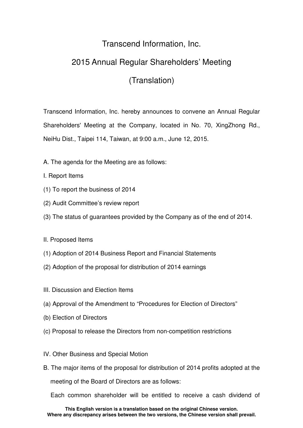## Transcend Information, Inc.

## 2015 Annual Regular Shareholders' Meeting

## (Translation)

Transcend Information, Inc. hereby announces to convene an Annual Regular Shareholders' Meeting at the Company, located in No. 70, XingZhong Rd., NeiHu Dist., Taipei 114, Taiwan, at 9:00 a.m., June 12, 2015.

- A. The agenda for the Meeting are as follows:
- I. Report Items
- (1) To report the business of 2014
- (2) Audit Committee's review report
- (3) The status of guarantees provided by the Company as of the end of 2014.
- II. Proposed Items
- (1) Adoption of 2014 Business Report and Financial Statements
- (2) Adoption of the proposal for distribution of 2014 earnings
- III. Discussion and Election Items
- (a) Approval of the Amendment to "Procedures for Election of Directors"
- (b) Election of Directors
- (c) Proposal to release the Directors from non-competition restrictions
- IV. Other Business and Special Motion
- B. The major items of the proposal for distribution of 2014 profits adopted at the meeting of the Board of Directors are as follows:

Each common shareholder will be entitled to receive a cash dividend of